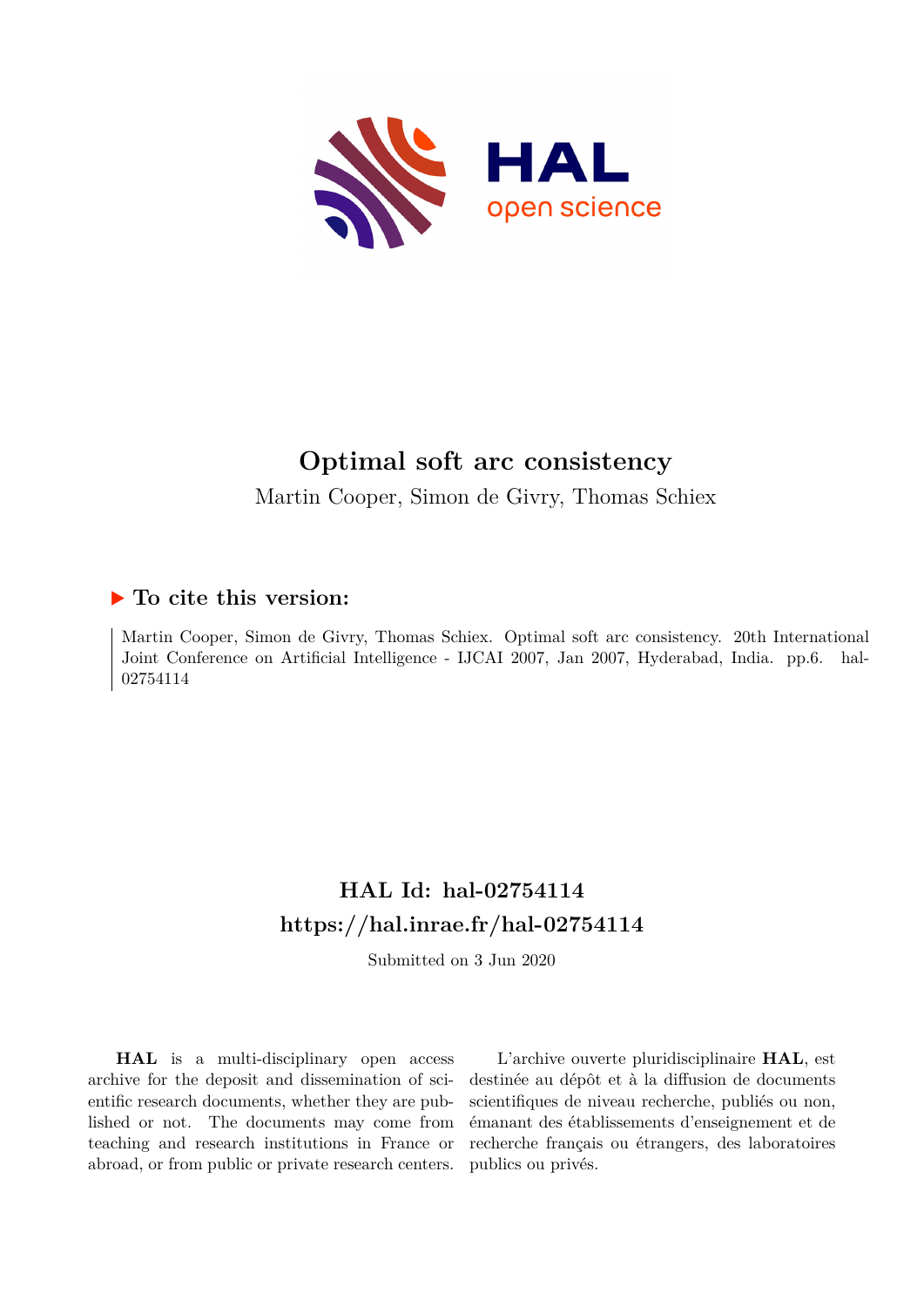

# **Optimal soft arc consistency**

Martin Cooper, Simon de Givry, Thomas Schiex

### **To cite this version:**

Martin Cooper, Simon de Givry, Thomas Schiex. Optimal soft arc consistency. 20th International Joint Conference on Artificial Intelligence - IJCAI 2007, Jan 2007, Hyderabad, India. pp.6. hal-02754114ff

# **HAL Id: hal-02754114 <https://hal.inrae.fr/hal-02754114>**

Submitted on 3 Jun 2020

**HAL** is a multi-disciplinary open access archive for the deposit and dissemination of scientific research documents, whether they are published or not. The documents may come from teaching and research institutions in France or abroad, or from public or private research centers.

L'archive ouverte pluridisciplinaire **HAL**, est destinée au dépôt et à la diffusion de documents scientifiques de niveau recherche, publiés ou non, émanant des établissements d'enseignement et de recherche français ou étrangers, des laboratoires publics ou privés.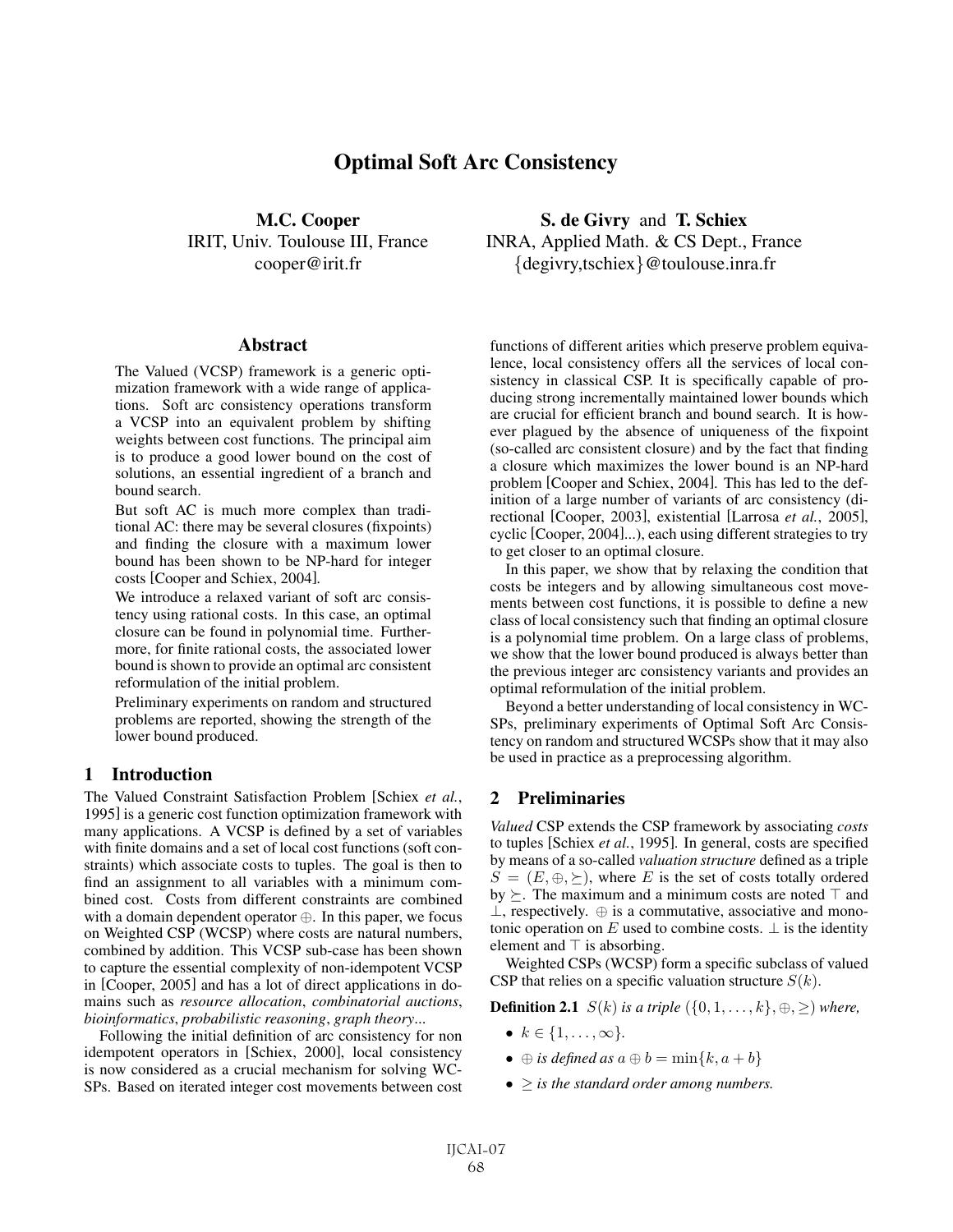### Optimal Soft Arc Consistency

M.C. Cooper IRIT, Univ. Toulouse III, France cooper@irit.fr

#### **Abstract**

The Valued (VCSP) framework is a generic optimization framework with a wide range of applications. Soft arc consistency operations transform a VCSP into an equivalent problem by shifting weights between cost functions. The principal aim is to produce a good lower bound on the cost of solutions, an essential ingredient of a branch and bound search.

But soft AC is much more complex than traditional AC: there may be several closures (fixpoints) and finding the closure with a maximum lower bound has been shown to be NP-hard for integer costs [Cooper and Schiex, 2004].

We introduce a relaxed variant of soft arc consistency using rational costs. In this case, an optimal closure can be found in polynomial time. Furthermore, for finite rational costs, the associated lower bound is shown to provide an optimal arc consistent reformulation of the initial problem.

Preliminary experiments on random and structured problems are reported, showing the strength of the lower bound produced.

#### 1 Introduction

The Valued Constraint Satisfaction Problem [Schiex *et al.*, 1995] is a generic cost function optimization framework with many applications. A VCSP is defined by a set of variables with finite domains and a set of local cost functions (soft constraints) which associate costs to tuples. The goal is then to find an assignment to all variables with a minimum combined cost. Costs from different constraints are combined with a domain dependent operator ⊕. In this paper, we focus on Weighted CSP (WCSP) where costs are natural numbers, combined by addition. This VCSP sub-case has been shown to capture the essential complexity of non-idempotent VCSP in [Cooper, 2005] and has a lot of direct applications in domains such as *resource allocation*, *combinatorial auctions*, *bioinformatics*, *probabilistic reasoning*, *graph theory*...

Following the initial definition of arc consistency for non idempotent operators in [Schiex, 2000], local consistency is now considered as a crucial mechanism for solving WC-SPs. Based on iterated integer cost movements between cost

S. de Givry and T. Schiex INRA, Applied Math. & CS Dept., France {degivry,tschiex}@toulouse.inra.fr

functions of different arities which preserve problem equivalence, local consistency offers all the services of local consistency in classical CSP. It is specifically capable of producing strong incrementally maintained lower bounds which are crucial for efficient branch and bound search. It is however plagued by the absence of uniqueness of the fixpoint (so-called arc consistent closure) and by the fact that finding a closure which maximizes the lower bound is an NP-hard problem [Cooper and Schiex, 2004]. This has led to the definition of a large number of variants of arc consistency (directional [Cooper, 2003], existential [Larrosa *et al.*, 2005], cyclic [Cooper, 2004]...), each using different strategies to try to get closer to an optimal closure.

In this paper, we show that by relaxing the condition that costs be integers and by allowing simultaneous cost movements between cost functions, it is possible to define a new class of local consistency such that finding an optimal closure is a polynomial time problem. On a large class of problems, we show that the lower bound produced is always better than the previous integer arc consistency variants and provides an optimal reformulation of the initial problem.

Beyond a better understanding of local consistency in WC-SPs, preliminary experiments of Optimal Soft Arc Consistency on random and structured WCSPs show that it may also be used in practice as a preprocessing algorithm.

#### 2 Preliminaries

*Valued* CSP extends the CSP framework by associating *costs* to tuples [Schiex *et al.*, 1995]. In general, costs are specified by means of a so-called *valuation structure* defined as a triple  $S = (E, \oplus, \succeq)$ , where E is the set of costs totally ordered by  $\succ$ . The maximum and a minimum costs are noted  $\top$  and  $\perp$ , respectively.  $\oplus$  is a commutative, associative and monotonic operation on E used to combine costs.  $\perp$  is the identity element and  $\top$  is absorbing.

Weighted CSPs (WCSP) form a specific subclass of valued CSP that relies on a specific valuation structure  $S(k)$ .

**Definition 2.1**  $S(k)$  *is a triple*  $({0, 1, \ldots, k}, \oplus, \geq)$  *where,* 

- $k \in \{1, ..., \infty\}$ .
- $\oplus$  *is defined as*  $a \oplus b = \min\{k, a + b\}$
- ≥ *is the standard order among numbers.*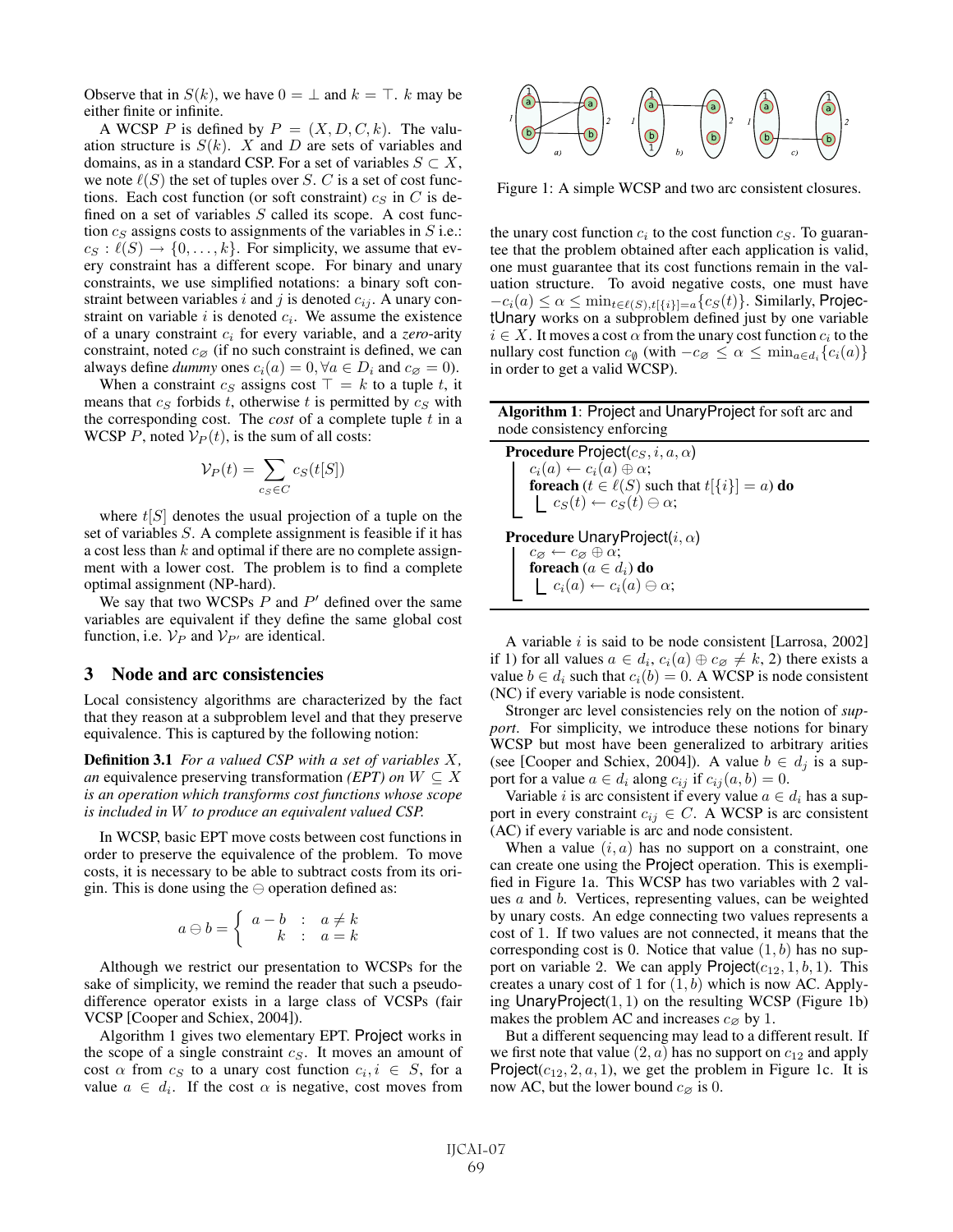Observe that in  $S(k)$ , we have  $0 = \perp$  and  $k = \top$ . k may be either finite or infinite.

A WCSP P is defined by  $P = (X, D, C, k)$ . The valuation structure is  $S(k)$ . X and D are sets of variables and domains, as in a standard CSP. For a set of variables  $S \subset X$ , we note  $\ell(S)$  the set of tuples over S. C is a set of cost functions. Each cost function (or soft constraint)  $c_S$  in  $C$  is defined on a set of variables  $S$  called its scope. A cost function  $c_S$  assigns costs to assignments of the variables in  $S$  i.e.:  $c_S : \tilde{\ell}(S) \to \{0, \ldots, k\}$ . For simplicity, we assume that every constraint has a different scope. For binary and unary constraints, we use simplified notations: a binary soft constraint between variables i and j is denoted  $c_{ij}$ . A unary constraint on variable  $i$  is denoted  $c_i$ . We assume the existence of a unary constraint  $c_i$  for every variable, and a *zero*-arity constraint, noted  $c_{\emptyset}$  (if no such constraint is defined, we can always define *dummy* ones  $c_i(a) = 0, \forall a \in D_i$  and  $c_{\emptyset} = 0$ .

When a constraint  $c_S$  assigns cost  $\top = k$  to a tuple t, it means that  $c_S$  forbids t, otherwise t is permitted by  $c_S$  with the corresponding cost. The *cost* of a complete tuple  $t$  in a WCSP P, noted  $V_P(t)$ , is the sum of all costs:

$$
\mathcal{V}_P(t) = \sum_{c_S \in C} c_S(t[S])
$$

where  $t[S]$  denotes the usual projection of a tuple on the set of variables S. A complete assignment is feasible if it has a cost less than  $k$  and optimal if there are no complete assignment with a lower cost. The problem is to find a complete optimal assignment (NP-hard).

We say that two WCSPs  $P$  and  $P'$  defined over the same variables are equivalent if they define the same global cost function, i.e.  $V_P$  and  $V_{P'}$  are identical.

#### 3 Node and arc consistencies

Local consistency algorithms are characterized by the fact that they reason at a subproblem level and that they preserve equivalence. This is captured by the following notion:

Definition 3.1 *For a valued CSP with a set of variables* X*, an* equivalence preserving transformation *(EPT) on*  $W \subseteq X$ *is an operation which transforms cost functions whose scope is included in* W *to produce an equivalent valued CSP.*

In WCSP, basic EPT move costs between cost functions in order to preserve the equivalence of the problem. To move costs, it is necessary to be able to subtract costs from its origin. This is done using the  $\ominus$  operation defined as:

$$
a \ominus b = \left\{ \begin{array}{rcl} a - b & : & a \neq k \\ k & : & a = k \end{array} \right.
$$

Although we restrict our presentation to WCSPs for the sake of simplicity, we remind the reader that such a pseudodifference operator exists in a large class of VCSPs (fair VCSP [Cooper and Schiex, 2004]).

Algorithm 1 gives two elementary EPT. Project works in the scope of a single constraint  $c_S$ . It moves an amount of cost  $\alpha$  from  $c_S$  to a unary cost function  $c_i, i \in S$ , for a value  $a \in d_i$ . If the cost  $\alpha$  is negative, cost moves from



Figure 1: A simple WCSP and two arc consistent closures.

the unary cost function  $c_i$  to the cost function  $c_S$ . To guarantee that the problem obtained after each application is valid, one must guarantee that its cost functions remain in the valuation structure. To avoid negative costs, one must have  $-c_i(a) \leq \alpha \leq \min_{t \in \ell(S), t[\{i\}]=a} \{c_S(t)\}$ . Similarly, Projectional propertional system is the projection of the set of the set of the set of the set of the set of the set of the set of the set of the set of the set of the tUnary works on a subproblem defined just by one variable  $i \in X$ . It moves a cost  $\alpha$  from the unary cost function  $c_i$  to the nullary cost function  $c_{\emptyset}$  (with  $-c_{\emptyset} \leq \alpha \leq \min_{a \in d_i} \{c_i(a)\}\$ in order to get a valid WCSP).

| Algorithm 1: Project and Unary Project for soft arc and |
|---------------------------------------------------------|
| node consistency enforcing                              |

**Procedure Project** $(c_S, i, a, \alpha)$  $c_i(a) \leftarrow c_i(a) \oplus \alpha;$ **foreach** ( $t \in \ell(S)$  such that  $t[\lbrace i \rbrace] = a$ ) **do**  $c_S(t) \leftarrow c_S(t) \ominus \alpha;$ 

**Procedure UnaryProject** $(i, \alpha)$  $c_{\emptyset} \leftarrow c_{\emptyset} \oplus \alpha;$ foreach ( $a \in d_i$ ) do  $c_i(a) \leftarrow c_i(a) \ominus \alpha;$ 

A variable  $i$  is said to be node consistent [Larrosa, 2002] if 1) for all values  $a \in d_i$ ,  $c_i(a) \oplus c_{\emptyset} \neq k$ , 2) there exists a value  $b \in d_i$  such that  $c_i(b)=0$ . A WCSP is node consistent (NC) if every variable is node consistent.

Stronger arc level consistencies rely on the notion of *support*. For simplicity, we introduce these notions for binary WCSP but most have been generalized to arbitrary arities (see [Cooper and Schiex, 2004]). A value  $b \in d_i$  is a support for a value  $a \in d_i$  along  $c_{ij}$  if  $c_{ij}(a, b) = 0$ .

Variable *i* is arc consistent if every value  $a \in d_i$  has a support in every constraint  $c_{ij} \in C$ . A WCSP is arc consistent (AC) if every variable is arc and node consistent.

When a value  $(i, a)$  has no support on a constraint, one can create one using the Project operation. This is exemplified in Figure 1a. This WCSP has two variables with 2 values a and b. Vertices, representing values, can be weighted by unary costs. An edge connecting two values represents a cost of 1. If two values are not connected, it means that the corresponding cost is 0. Notice that value  $(1, b)$  has no support on variable 2. We can apply  $\text{Project}(c_{12}, 1, b, 1)$ . This creates a unary cost of 1 for  $(1, b)$  which is now AC. Applying UnaryProject $(1, 1)$  on the resulting WCSP (Figure 1b) makes the problem AC and increases  $c_{\emptyset}$  by 1.

But a different sequencing may lead to a different result. If we first note that value  $(2, a)$  has no support on  $c_{12}$  and apply Project( $c_{12}$ , 2, a, 1), we get the problem in Figure 1c. It is now AC, but the lower bound  $c_{\emptyset}$  is 0.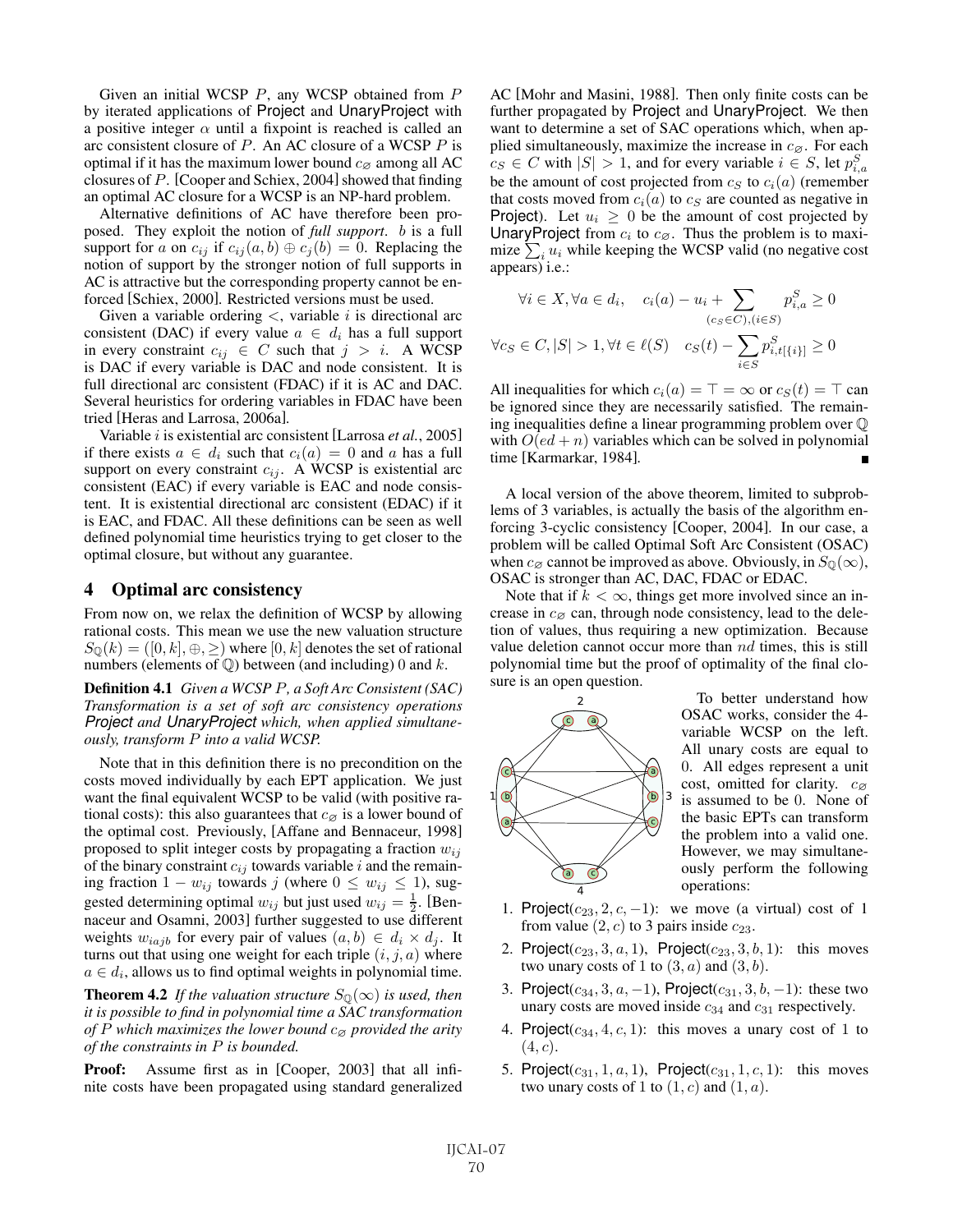Given an initial WCSP  $P$ , any WCSP obtained from  $P$ by iterated applications of Project and UnaryProject with a positive integer  $\alpha$  until a fixpoint is reached is called an arc consistent closure of  $P$ . An AC closure of a WCSP  $P$  is optimal if it has the maximum lower bound  $c_{\varnothing}$  among all AC closures of  $P$ . [Cooper and Schiex, 2004] showed that finding an optimal AC closure for a WCSP is an NP-hard problem.

Alternative definitions of AC have therefore been proposed. They exploit the notion of *full support*. b is a full support for a on  $c_{ij}$  if  $c_{ij}(a, b) \oplus c_j(b) = 0$ . Replacing the notion of support by the stronger notion of full supports in AC is attractive but the corresponding property cannot be enforced [Schiex, 2000]. Restricted versions must be used.

Given a variable ordering  $\lt$ , variable *i* is directional arc consistent (DAC) if every value  $a \in d_i$  has a full support in every constraint  $c_{ij} \in C$  such that  $j > i$ . A WCSP is DAC if every variable is DAC and node consistent. It is full directional arc consistent (FDAC) if it is AC and DAC. Several heuristics for ordering variables in FDAC have been tried [Heras and Larrosa, 2006a].

Variable i is existential arc consistent [Larrosa *et al.*, 2005] if there exists  $a \in d_i$  such that  $c_i(a) = 0$  and a has a full support on every constraint  $c_{ij}$ . A WCSP is existential arc consistent (EAC) if every variable is EAC and node consistent. It is existential directional arc consistent (EDAC) if it is EAC, and FDAC. All these definitions can be seen as well defined polynomial time heuristics trying to get closer to the optimal closure, but without any guarantee.

#### 4 Optimal arc consistency

From now on, we relax the definition of WCSP by allowing rational costs. This mean we use the new valuation structure  $S_{\mathbb{O}}(k) = ([0, k], \oplus, \geq)$  where  $[0, k]$  denotes the set of rational numbers (elements of  $\mathbb{Q}$ ) between (and including) 0 and k.

Definition 4.1 *Given a WCSP* P*, a Soft Arc Consistent (SAC) Transformation is a set of soft arc consistency operations Project and UnaryProject which, when applied simultaneously, transform* P *into a valid WCSP.*

Note that in this definition there is no precondition on the costs moved individually by each EPT application. We just want the final equivalent WCSP to be valid (with positive rational costs): this also guarantees that  $c_{\varnothing}$  is a lower bound of the optimal cost. Previously, [Affane and Bennaceur, 1998] proposed to split integer costs by propagating a fraction  $w_{ij}$ of the binary constraint  $c_{ij}$  towards variable i and the remaining fraction  $1 - w_{ij}$  towards j (where  $0 \leq w_{ij} \leq 1$ ), suggested determining optimal  $w_{ij}$  but just used  $w_{ij} = \frac{1}{2}$ . [Bennaceur and Osamni, 2003] further suggested to use different weights  $w_{iajb}$  for every pair of values  $(a, b) \in d_i \times d_j$ . It turns out that using one weight for each triple  $(i, j, a)$  where  $a \in d_i$ , allows us to find optimal weights in polynomial time.

**Theorem 4.2** *If the valuation structure*  $S_{\mathbb{Q}}(\infty)$  *is used, then it is possible to find in polynomial time a SAC transformation of* P which maximizes the lower bound  $c_{\varnothing}$  provided the arity *of the constraints in* P *is bounded.*

Proof: Assume first as in [Cooper, 2003] that all infinite costs have been propagated using standard generalized AC [Mohr and Masini, 1988]. Then only finite costs can be further propagated by Project and UnaryProject. We then want to determine a set of SAC operations which, when applied simultaneously, maximize the increase in  $c_{\varnothing}$ . For each  $c_S \in C$  with  $|S| > 1$ , and for every variable  $i \in S$ , let  $p_{i,a}^S$ be the amount of cost projected from  $c_S$  to  $c_i(a)$  (remember that costs moved from  $c_i(a)$  to  $c_s$  are counted as negative in **Project**). Let  $u_i \geq 0$  be the amount of cost projected by UnaryProject from  $c_i$  to  $c_{\varnothing}$ . Thus the problem is to maximize  $\sum_i u_i$  while keeping the WCSP valid (no negative cost appears) i.e.:

$$
\forall i \in X, \forall a \in d_i, \quad c_i(a) - u_i + \sum_{(c_S \in C), (i \in S)} p_{i,a}^S \ge 0
$$
  

$$
\forall c_S \in C, |S| > 1, \forall t \in \ell(S) \quad c_S(t) - \sum_{i \in S} p_{i,t[\{i\}]}^S \ge 0
$$

All inequalities for which  $c_i(a) = \top = \infty$  or  $c_s(t) = \top$  can be ignored since they are necessarily satisfied. The remaining inequalities define a linear programming problem over Q with  $O(ed + n)$  variables which can be solved in polynomial time [Karmarkar, 1984].

A local version of the above theorem, limited to subproblems of 3 variables, is actually the basis of the algorithm enforcing 3-cyclic consistency [Cooper, 2004]. In our case, a problem will be called Optimal Soft Arc Consistent (OSAC) when  $c_{\emptyset}$  cannot be improved as above. Obviously, in  $S_{\mathbb{Q}}(\infty)$ , OSAC is stronger than AC, DAC, FDAC or EDAC.

Note that if  $k < \infty$ , things get more involved since an increase in  $c_{\emptyset}$  can, through node consistency, lead to the deletion of values, thus requiring a new optimization. Because value deletion cannot occur more than nd times, this is still polynomial time but the proof of optimality of the final closure is an open question.



To better understand how OSAC works, consider the 4 variable WCSP on the left. All unary costs are equal to 0. All edges represent a unit cost, omitted for clarity.  $c_{\varnothing}$ is assumed to be 0. None of the basic EPTs can transform the problem into a valid one. However, we may simultaneously perform the following operations:

- 1. Project( $c_{23}$ , 2, c, -1): we move (a virtual) cost of 1 from value  $(2, c)$  to 3 pairs inside  $c_{23}$ .
- 2. Project( $c_{23}$ , 3,  $a$ , 1), Project( $c_{23}$ , 3,  $b$ , 1): this moves two unary costs of 1 to  $(3, a)$  and  $(3, b)$ .
- 3. Project( $c_{34}$ , 3,  $a$ , -1), Project( $c_{31}$ , 3,  $b$ , -1): these two unary costs are moved inside  $c_{34}$  and  $c_{31}$  respectively.
- 4. Project( $c_{34}$ , 4, c, 1): this moves a unary cost of 1 to  $(4, c).$
- 5. Project( $c_{31}$ , 1, a, 1), Project( $c_{31}$ , 1, c, 1): this moves two unary costs of 1 to  $(1, c)$  and  $(1, a)$ .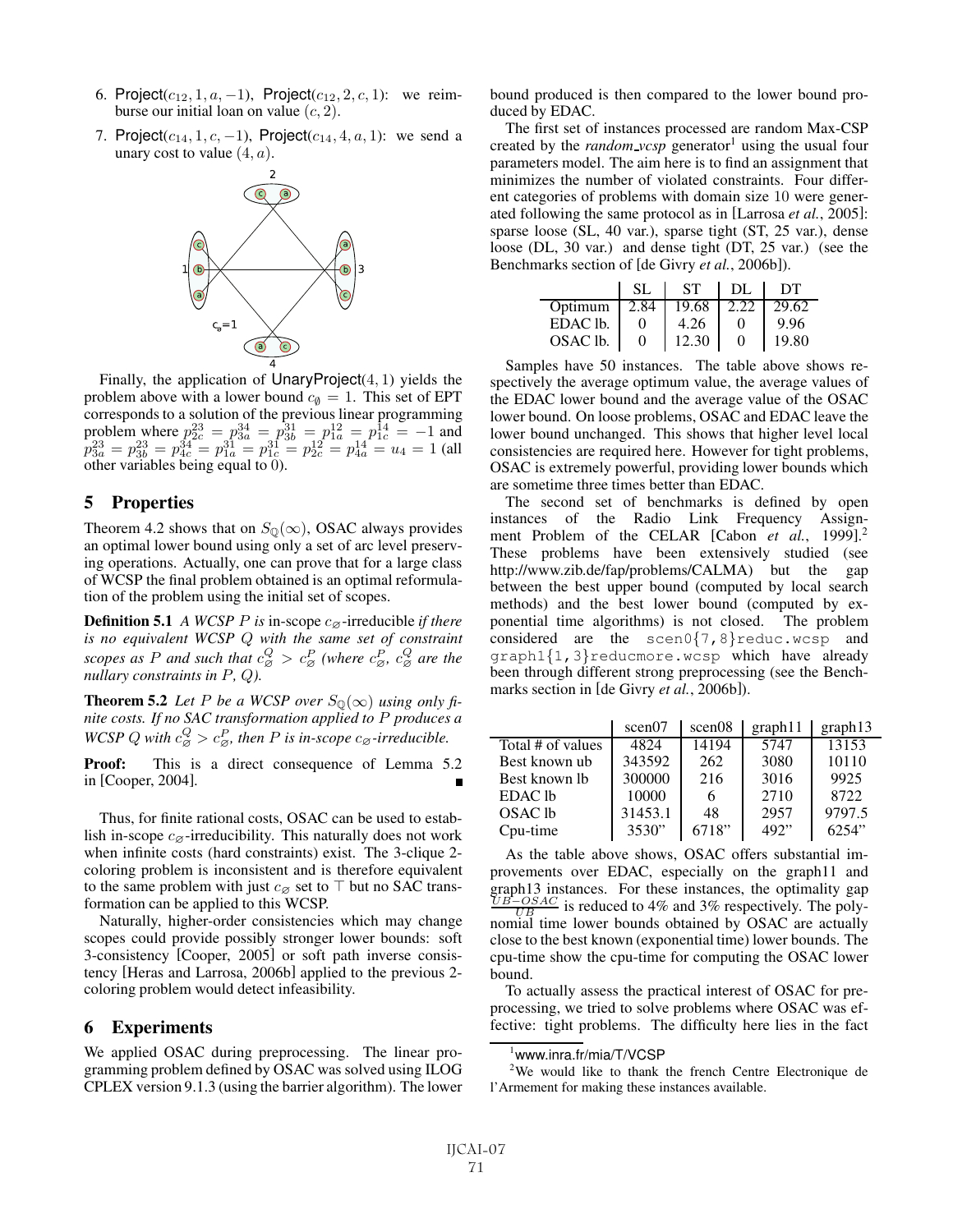- 6. Project( $c_{12}$ , 1,  $a$ , -1), Project( $c_{12}$ , 2,  $c$ , 1): we reimburse our initial loan on value  $(c, 2)$ .
- 7. Project( $c_{14}$ , 1,  $c$ , -1), Project( $c_{14}$ , 4,  $a$ , 1): we send a unary cost to value  $(4, a)$ .



Finally, the application of  $\text{UnaryProject}(4, 1)$  yields the problem above with a lower bound  $c_{\emptyset} = 1$ . This set of EPT corresponds to a solution of the previous linear programming problem where  $p_{2c}^{23} = p_{3a}^{34} = p_{3b}^{31} = p_{1a}^{12} = p_{1c}^{14} = -1$  and  $p_{3a}^{23} = p_{3b}^{34} = p_{1a}^{31} = p_{1c}^{11} = p_{2c}^{12} = p_{4a}^{14} = u_4 = 1$  (all other variables being equal to 0).

#### 5 Properties

Theorem 4.2 shows that on  $S_{\mathbb{Q}}(\infty)$ , OSAC always provides an optimal lower bound using only a set of arc level preserving operations. Actually, one can prove that for a large class of WCSP the final problem obtained is an optimal reformulation of the problem using the initial set of scopes.

**Definition 5.1** *A WCSP P is* in-scope  $c_{\emptyset}$ -irreducible *if there is no equivalent WCSP* Q *with the same set of constraint* scopes as P and such that  $c_{\varnothing}^Q > c_{\varnothing}^P$  (where  $c_{\varnothing}^P$ ,  $c_{\varnothing}^Q$  are the *nullary constraints in* P*,* Q*).*

**Theorem 5.2** *Let P be a WCSP over*  $S_0(\infty)$  *using only finite costs. If no SAC transformation applied to* P *produces a WCSP* Q with  $c_{\varnothing}^Q > c_{\varnothing}^P$ , then P is in-scope  $c_{\varnothing}$ -irreducible.

Proof: This is a direct consequence of Lemma 5.2 in [Cooper, 2004].

Thus, for finite rational costs, OSAC can be used to establish in-scope  $c_{\emptyset}$ -irreducibility. This naturally does not work when infinite costs (hard constraints) exist. The 3-clique 2 coloring problem is inconsistent and is therefore equivalent to the same problem with just  $c_{\emptyset}$  set to  $\top$  but no SAC transformation can be applied to this WCSP.

Naturally, higher-order consistencies which may change scopes could provide possibly stronger lower bounds: soft 3-consistency [Cooper, 2005] or soft path inverse consistency [Heras and Larrosa, 2006b] applied to the previous 2 coloring problem would detect infeasibility.

#### 6 Experiments

We applied OSAC during preprocessing. The linear programming problem defined by OSAC was solved using ILOG CPLEX version 9.1.3 (using the barrier algorithm). The lower bound produced is then compared to the lower bound produced by EDAC.

The first set of instances processed are random Max-CSP created by the *random vcsp* generator<sup>1</sup> using the usual four parameters model. The aim here is to find an assignment that minimizes the number of violated constraints. Four different categories of problems with domain size 10 were generated following the same protocol as in [Larrosa *et al.*, 2005]: sparse loose (SL, 40 var.), sparse tight (ST, 25 var.), dense loose (DL, 30 var.) and dense tight (DT, 25 var.) (see the Benchmarks section of [de Givry *et al.*, 2006b]).

|                | SL           | <b>ST</b> | DL           | DT    |
|----------------|--------------|-----------|--------------|-------|
| Optimum   2.84 |              | 19.68     | 2.22         | 29.62 |
| EDAC lb.       |              | 4.26      |              | 9.96  |
| OSAC lb.       | $\mathbf{0}$ | 12.30     | $\mathbf{0}$ | 19.80 |

Samples have 50 instances. The table above shows respectively the average optimum value, the average values of the EDAC lower bound and the average value of the OSAC lower bound. On loose problems, OSAC and EDAC leave the lower bound unchanged. This shows that higher level local consistencies are required here. However for tight problems, OSAC is extremely powerful, providing lower bounds which are sometime three times better than EDAC.

The second set of benchmarks is defined by open instances of the Radio Link Frequency Assignment Problem of the CELAR [Cabon *et al.*, 1999]. 2 These problems have been extensively studied (see http://www.zib.de/fap/problems/CALMA) but the gap between the best upper bound (computed by local search methods) and the best lower bound (computed by exponential time algorithms) is not closed. The problem considered are the scen0{7,8}reduc.wcsp and graph1{1,3}reducmore.wcsp which have already been through different strong preprocessing (see the Benchmarks section in [de Givry *et al.*, 2006b]).

|                   | scen07  | scen08 | graph11 | graph13 |
|-------------------|---------|--------|---------|---------|
| Total # of values | 4824    | 14194  | 5747    | 13153   |
| Best known ub     | 343592  | 262    | 3080    | 10110   |
| Best known lb     | 300000  | 216    | 3016    | 9925    |
| EDAC lb           | 10000   | 6      | 2710    | 8722    |
| OSAC lb           | 31453.1 | 48     | 2957    | 9797.5  |
| Cpu-time          | 3530"   | 6718"  | 492"    | 6254"   |

As the table above shows, OSAC offers substantial improvements over EDAC, especially on the graph11 and graph13 instances. For these instances, the optimality gap  $\frac{UB-OSAC}{UB}$  is reduced to 4% and 3% respectively. The polynomial time lower bounds obtained by OSAC are actually close to the best known (exponential time) lower bounds. The cpu-time show the cpu-time for computing the OSAC lower bound.

To actually assess the practical interest of OSAC for preprocessing, we tried to solve problems where OSAC was effective: tight problems. The difficulty here lies in the fact

 $2$ We would like to thank the french Centre Electronique de l'Armement for making these instances available.

<sup>&</sup>lt;sup>1</sup>www.inra.fr/mia/T/VCSP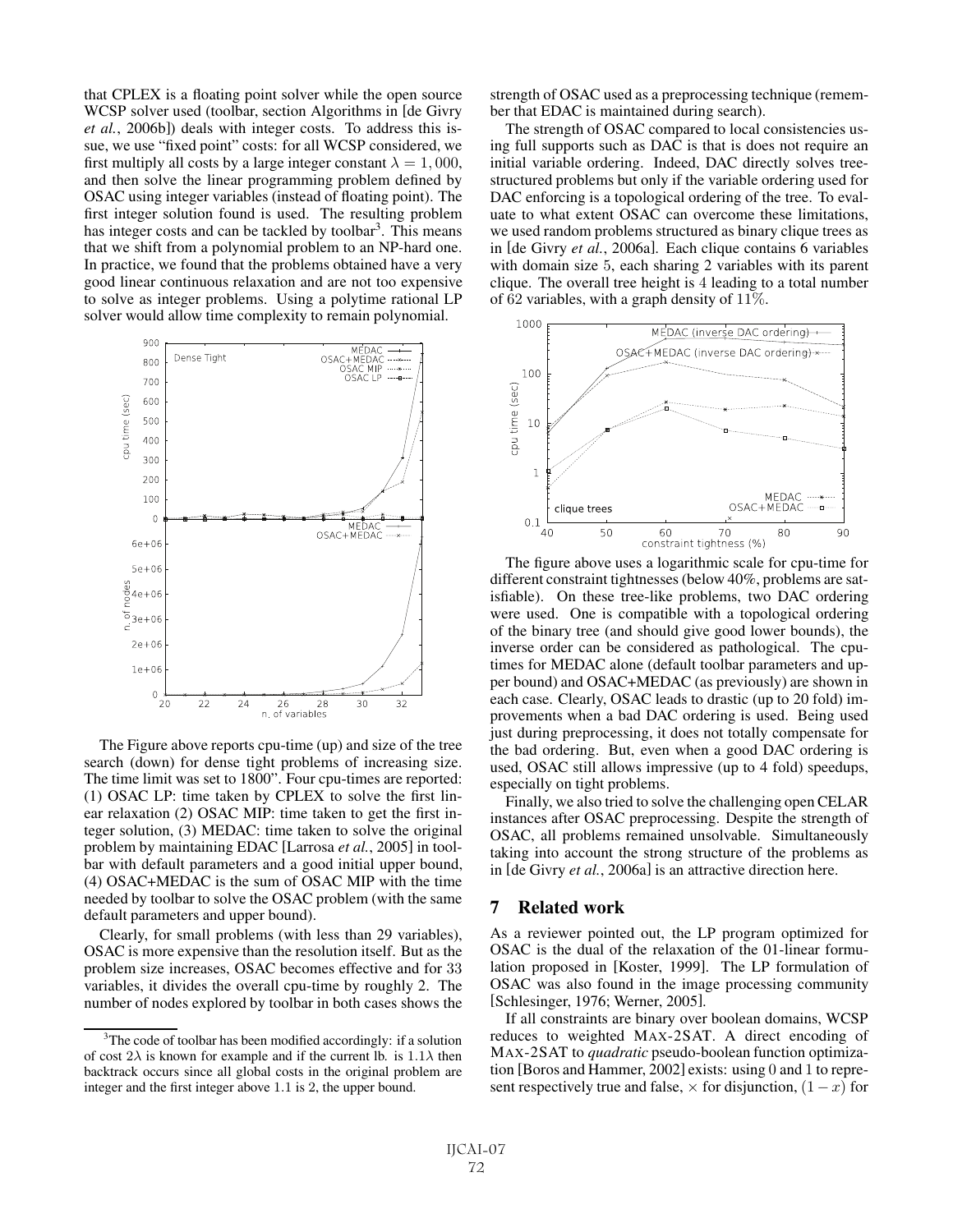that CPLEX is a floating point solver while the open source WCSP solver used (toolbar, section Algorithms in [de Givry *et al.*, 2006b]) deals with integer costs. To address this issue, we use "fixed point" costs: for all WCSP considered, we first multiply all costs by a large integer constant  $\lambda = 1,000$ , and then solve the linear programming problem defined by OSAC using integer variables (instead of floating point). The first integer solution found is used. The resulting problem has integer costs and can be tackled by toolbar<sup>3</sup>. This means that we shift from a polynomial problem to an NP-hard one. In practice, we found that the problems obtained have a very good linear continuous relaxation and are not too expensive to solve as integer problems. Using a polytime rational LP solver would allow time complexity to remain polynomial.



The Figure above reports cpu-time (up) and size of the tree search (down) for dense tight problems of increasing size. The time limit was set to 1800". Four cpu-times are reported: (1) OSAC LP: time taken by CPLEX to solve the first linear relaxation (2) OSAC MIP: time taken to get the first integer solution, (3) MEDAC: time taken to solve the original problem by maintaining EDAC [Larrosa *et al.*, 2005] in toolbar with default parameters and a good initial upper bound, (4) OSAC+MEDAC is the sum of OSAC MIP with the time needed by toolbar to solve the OSAC problem (with the same default parameters and upper bound).

Clearly, for small problems (with less than 29 variables), OSAC is more expensive than the resolution itself. But as the problem size increases, OSAC becomes effective and for 33 variables, it divides the overall cpu-time by roughly 2. The number of nodes explored by toolbar in both cases shows the strength of OSAC used as a preprocessing technique (remember that EDAC is maintained during search).

The strength of OSAC compared to local consistencies using full supports such as DAC is that is does not require an initial variable ordering. Indeed, DAC directly solves treestructured problems but only if the variable ordering used for DAC enforcing is a topological ordering of the tree. To evaluate to what extent OSAC can overcome these limitations, we used random problems structured as binary clique trees as in [de Givry *et al.*, 2006a]. Each clique contains 6 variables with domain size 5, each sharing 2 variables with its parent clique. The overall tree height is 4 leading to a total number of 62 variables, with a graph density of 11%.



The figure above uses a logarithmic scale for cpu-time for different constraint tightnesses (below 40%, problems are satisfiable). On these tree-like problems, two DAC ordering were used. One is compatible with a topological ordering of the binary tree (and should give good lower bounds), the inverse order can be considered as pathological. The cputimes for MEDAC alone (default toolbar parameters and upper bound) and OSAC+MEDAC (as previously) are shown in each case. Clearly, OSAC leads to drastic (up to 20 fold) improvements when a bad DAC ordering is used. Being used just during preprocessing, it does not totally compensate for the bad ordering. But, even when a good DAC ordering is used, OSAC still allows impressive (up to 4 fold) speedups, especially on tight problems.

Finally, we also tried to solve the challenging open CELAR instances after OSAC preprocessing. Despite the strength of OSAC, all problems remained unsolvable. Simultaneously taking into account the strong structure of the problems as in [de Givry *et al.*, 2006a] is an attractive direction here.

#### 7 Related work

As a reviewer pointed out, the LP program optimized for OSAC is the dual of the relaxation of the 01-linear formulation proposed in [Koster, 1999]. The LP formulation of OSAC was also found in the image processing community [Schlesinger, 1976; Werner, 2005].

If all constraints are binary over boolean domains, WCSP reduces to weighted MAX-2SAT. A direct encoding of MAX-2SAT to *quadratic* pseudo-boolean function optimization [Boros and Hammer, 2002] exists: using 0 and 1 to represent respectively true and false,  $\times$  for disjunction,  $(1-x)$  for

<sup>&</sup>lt;sup>3</sup>The code of toolbar has been modified accordingly: if a solution of cost  $2\lambda$  is known for example and if the current lb. is  $1.1\lambda$  then backtrack occurs since all global costs in the original problem are integer and the first integer above 1.1 is 2, the upper bound.